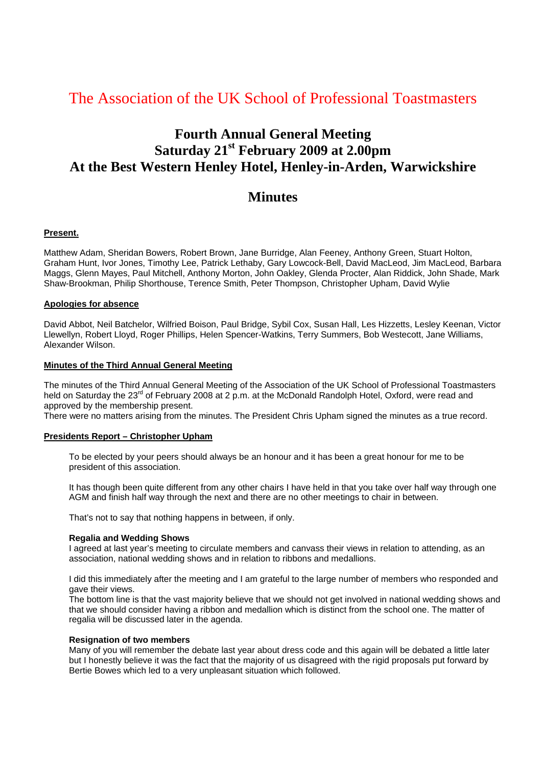# The Association of the UK School of Professional Toastmasters

# **Fourth Annual General Meeting Saturday 21st February 2009 at 2.00pm At the Best Western Henley Hotel, Henley-in-Arden, Warwickshire**

# **Minutes**

# **Present.**

Matthew Adam, Sheridan Bowers, Robert Brown, Jane Burridge, Alan Feeney, Anthony Green, Stuart Holton, Graham Hunt, Ivor Jones, Timothy Lee, Patrick Lethaby, Gary Lowcock-Bell, David MacLeod, Jim MacLeod, Barbara Maggs, Glenn Mayes, Paul Mitchell, Anthony Morton, John Oakley, Glenda Procter, Alan Riddick, John Shade, Mark Shaw-Brookman, Philip Shorthouse, Terence Smith, Peter Thompson, Christopher Upham, David Wylie

#### **Apologies for absence**

David Abbot, Neil Batchelor, Wilfried Boison, Paul Bridge, Sybil Cox, Susan Hall, Les Hizzetts, Lesley Keenan, Victor Llewellyn, Robert Lloyd, Roger Phillips, Helen Spencer-Watkins, Terry Summers, Bob Westecott, Jane Williams, Alexander Wilson.

#### **Minutes of the Third Annual General Meeting**

The minutes of the Third Annual General Meeting of the Association of the UK School of Professional Toastmasters held on Saturday the 23<sup>rd</sup> of February 2008 at 2 p.m. at the McDonald Randolph Hotel, Oxford, were read and approved by the membership present.

There were no matters arising from the minutes. The President Chris Upham signed the minutes as a true record.

# **Presidents Report – Christopher Upham**

To be elected by your peers should always be an honour and it has been a great honour for me to be president of this association.

It has though been quite different from any other chairs I have held in that you take over half way through one AGM and finish half way through the next and there are no other meetings to chair in between.

That's not to say that nothing happens in between, if only.

#### **Regalia and Wedding Shows**

I agreed at last year's meeting to circulate members and canvass their views in relation to attending, as an association, national wedding shows and in relation to ribbons and medallions.

I did this immediately after the meeting and I am grateful to the large number of members who responded and gave their views.

The bottom line is that the vast majority believe that we should not get involved in national wedding shows and that we should consider having a ribbon and medallion which is distinct from the school one. The matter of regalia will be discussed later in the agenda.

#### **Resignation of two members**

Many of you will remember the debate last year about dress code and this again will be debated a little later but I honestly believe it was the fact that the majority of us disagreed with the rigid proposals put forward by Bertie Bowes which led to a very unpleasant situation which followed.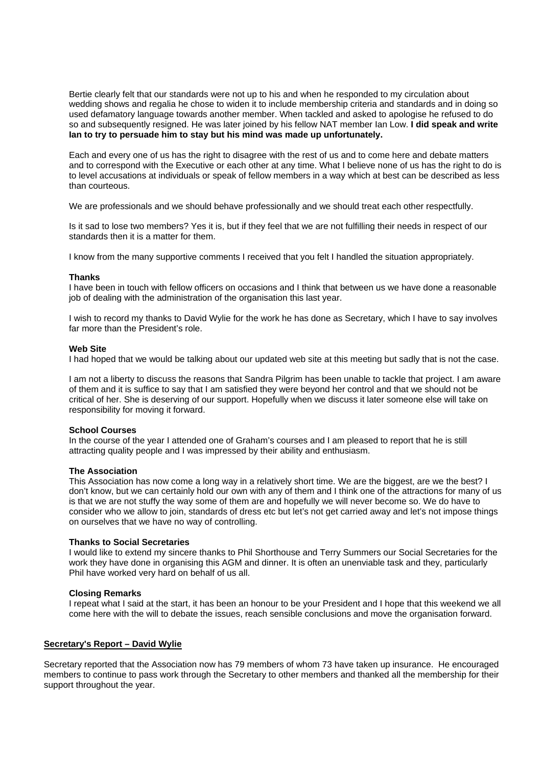Bertie clearly felt that our standards were not up to his and when he responded to my circulation about wedding shows and regalia he chose to widen it to include membership criteria and standards and in doing so used defamatory language towards another member. When tackled and asked to apologise he refused to do so and subsequently resigned. He was later joined by his fellow NAT member Ian Low. **I did speak and write Ian to try to persuade him to stay but his mind was made up unfortunately.** 

Each and every one of us has the right to disagree with the rest of us and to come here and debate matters and to correspond with the Executive or each other at any time. What I believe none of us has the right to do is to level accusations at individuals or speak of fellow members in a way which at best can be described as less than courteous.

We are professionals and we should behave professionally and we should treat each other respectfully.

Is it sad to lose two members? Yes it is, but if they feel that we are not fulfilling their needs in respect of our standards then it is a matter for them.

I know from the many supportive comments I received that you felt I handled the situation appropriately.

#### **Thanks**

I have been in touch with fellow officers on occasions and I think that between us we have done a reasonable job of dealing with the administration of the organisation this last year.

I wish to record my thanks to David Wylie for the work he has done as Secretary, which I have to say involves far more than the President's role.

#### **Web Site**

I had hoped that we would be talking about our updated web site at this meeting but sadly that is not the case.

I am not a liberty to discuss the reasons that Sandra Pilgrim has been unable to tackle that project. I am aware of them and it is suffice to say that I am satisfied they were beyond her control and that we should not be critical of her. She is deserving of our support. Hopefully when we discuss it later someone else will take on responsibility for moving it forward.

#### **School Courses**

In the course of the year I attended one of Graham's courses and I am pleased to report that he is still attracting quality people and I was impressed by their ability and enthusiasm.

#### **The Association**

This Association has now come a long way in a relatively short time. We are the biggest, are we the best? I don't know, but we can certainly hold our own with any of them and I think one of the attractions for many of us is that we are not stuffy the way some of them are and hopefully we will never become so. We do have to consider who we allow to join, standards of dress etc but let's not get carried away and let's not impose things on ourselves that we have no way of controlling.

#### **Thanks to Social Secretaries**

I would like to extend my sincere thanks to Phil Shorthouse and Terry Summers our Social Secretaries for the work they have done in organising this AGM and dinner. It is often an unenviable task and they, particularly Phil have worked very hard on behalf of us all.

#### **Closing Remarks**

I repeat what I said at the start, it has been an honour to be your President and I hope that this weekend we all come here with the will to debate the issues, reach sensible conclusions and move the organisation forward.

# **Secretary's Report – David Wylie**

Secretary reported that the Association now has 79 members of whom 73 have taken up insurance. He encouraged members to continue to pass work through the Secretary to other members and thanked all the membership for their support throughout the year.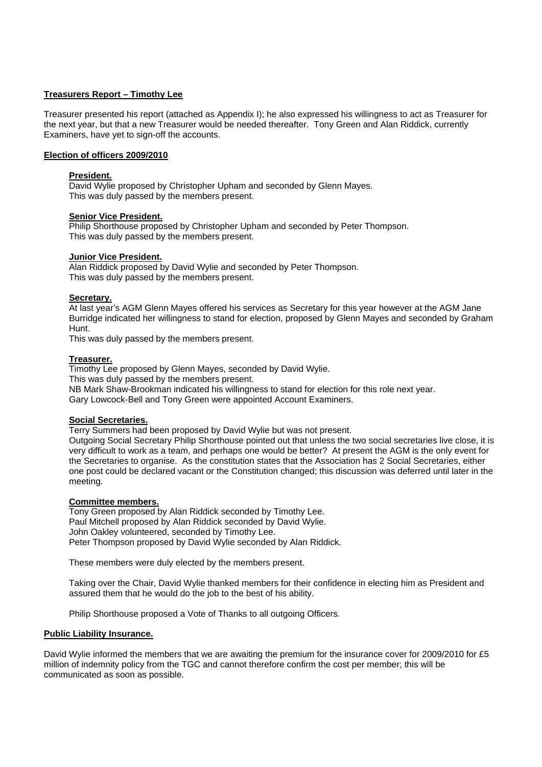# **Treasurers Report – Timothy Lee**

Treasurer presented his report (attached as Appendix I); he also expressed his willingness to act as Treasurer for the next year, but that a new Treasurer would be needed thereafter. Tony Green and Alan Riddick, currently Examiners, have yet to sign-off the accounts.

# **Election of officers 2009/2010**

# **President.**

David Wylie proposed by Christopher Upham and seconded by Glenn Mayes. This was duly passed by the members present.

# **Senior Vice President.**

Philip Shorthouse proposed by Christopher Upham and seconded by Peter Thompson. This was duly passed by the members present.

# **Junior Vice President.**

Alan Riddick proposed by David Wylie and seconded by Peter Thompson. This was duly passed by the members present.

# **Secretary.**

At last year's AGM Glenn Mayes offered his services as Secretary for this year however at the AGM Jane Burridge indicated her willingness to stand for election, proposed by Glenn Mayes and seconded by Graham Hunt.

This was duly passed by the members present.

#### **Treasurer.**

Timothy Lee proposed by Glenn Mayes, seconded by David Wylie. This was duly passed by the members present. NB Mark Shaw-Brookman indicated his willingness to stand for election for this role next year. Gary Lowcock-Bell and Tony Green were appointed Account Examiners.

# **Social Secretaries.**

Terry Summers had been proposed by David Wylie but was not present.

Outgoing Social Secretary Philip Shorthouse pointed out that unless the two social secretaries live close, it is very difficult to work as a team, and perhaps one would be better? At present the AGM is the only event for the Secretaries to organise. As the constitution states that the Association has 2 Social Secretaries, either one post could be declared vacant or the Constitution changed; this discussion was deferred until later in the meeting.

# **Committee members.**

Tony Green proposed by Alan Riddick seconded by Timothy Lee. Paul Mitchell proposed by Alan Riddick seconded by David Wylie. John Oakley volunteered, seconded by Timothy Lee. Peter Thompson proposed by David Wylie seconded by Alan Riddick.

These members were duly elected by the members present.

Taking over the Chair, David Wylie thanked members for their confidence in electing him as President and assured them that he would do the job to the best of his ability.

Philip Shorthouse proposed a Vote of Thanks to all outgoing Officers.

#### **Public Liability Insurance.**

David Wylie informed the members that we are awaiting the premium for the insurance cover for 2009/2010 for £5 million of indemnity policy from the TGC and cannot therefore confirm the cost per member; this will be communicated as soon as possible.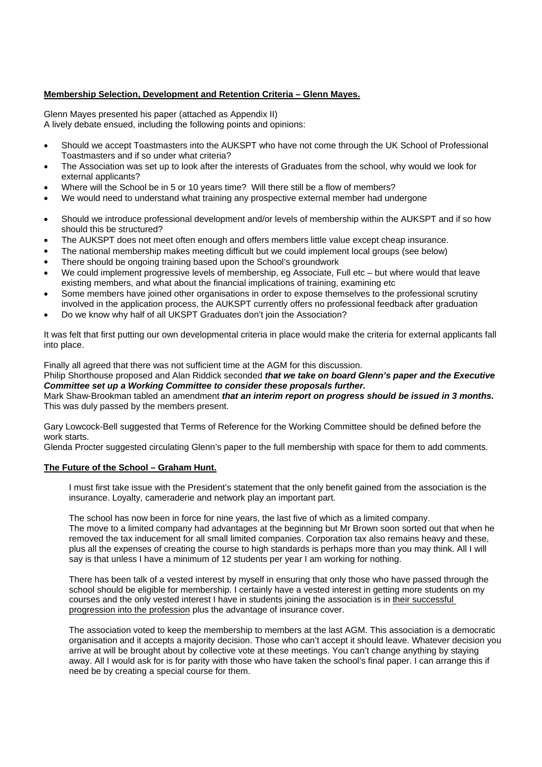# **Membership Selection, Development and Retention Criteria – Glenn Mayes.**

Glenn Mayes presented his paper (attached as Appendix II) A lively debate ensued, including the following points and opinions:

- Should we accept Toastmasters into the AUKSPT who have not come through the UK School of Professional Toastmasters and if so under what criteria?
- The Association was set up to look after the interests of Graduates from the school, why would we look for external applicants?
- Where will the School be in 5 or 10 years time? Will there still be a flow of members?
- We would need to understand what training any prospective external member had undergone
- Should we introduce professional development and/or levels of membership within the AUKSPT and if so how should this be structured?
- The AUKSPT does not meet often enough and offers members little value except cheap insurance.
- The national membership makes meeting difficult but we could implement local groups (see below)
- There should be ongoing training based upon the School's groundwork
- We could implement progressive levels of membership, eg Associate, Full etc but where would that leave existing members, and what about the financial implications of training, examining etc
- Some members have joined other organisations in order to expose themselves to the professional scrutiny involved in the application process, the AUKSPT currently offers no professional feedback after graduation
- Do we know why half of all UKSPT Graduates don't join the Association?

It was felt that first putting our own developmental criteria in place would make the criteria for external applicants fall into place.

Finally all agreed that there was not sufficient time at the AGM for this discussion.

Philip Shorthouse proposed and Alan Riddick seconded *that we take on board Glenn's paper and the Executive Committee set up a Working Committee to consider these proposals further.*

Mark Shaw-Brookman tabled an amendment *that an interim report on progress should be issued in 3 months.*  This was duly passed by the members present.

Gary Lowcock-Bell suggested that Terms of Reference for the Working Committee should be defined before the work starts.

Glenda Procter suggested circulating Glenn's paper to the full membership with space for them to add comments.

# **The Future of the School – Graham Hunt.**

I must first take issue with the President's statement that the only benefit gained from the association is the insurance. Loyalty, cameraderie and network play an important part.

The school has now been in force for nine years, the last five of which as a limited company. The move to a limited company had advantages at the beginning but Mr Brown soon sorted out that when he removed the tax inducement for all small limited companies. Corporation tax also remains heavy and these, plus all the expenses of creating the course to high standards is perhaps more than you may think. All I will say is that unless I have a minimum of 12 students per year I am working for nothing.

There has been talk of a vested interest by myself in ensuring that only those who have passed through the school should be eligible for membership. I certainly have a vested interest in getting more students on my courses and the only vested interest I have in students joining the association is in their successful progression into the profession plus the advantage of insurance cover.

The association voted to keep the membership to members at the last AGM. This association is a democratic organisation and it accepts a majority decision. Those who can't accept it should leave. Whatever decision you arrive at will be brought about by collective vote at these meetings. You can't change anything by staying away. All I would ask for is for parity with those who have taken the school's final paper. I can arrange this if need be by creating a special course for them.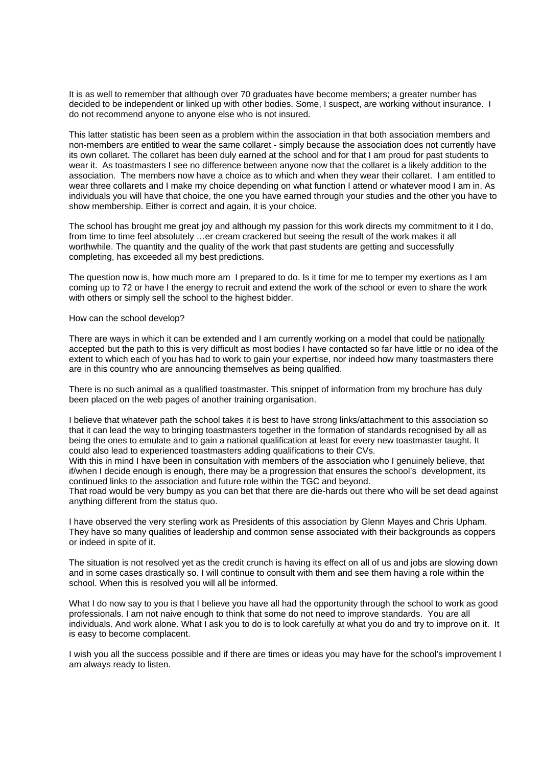It is as well to remember that although over 70 graduates have become members; a greater number has decided to be independent or linked up with other bodies. Some, I suspect, are working without insurance. I do not recommend anyone to anyone else who is not insured.

This latter statistic has been seen as a problem within the association in that both association members and non-members are entitled to wear the same collaret - simply because the association does not currently have its own collaret. The collaret has been duly earned at the school and for that I am proud for past students to wear it. As toastmasters I see no difference between anyone now that the collaret is a likely addition to the association. The members now have a choice as to which and when they wear their collaret. I am entitled to wear three collarets and I make my choice depending on what function I attend or whatever mood I am in. As individuals you will have that choice, the one you have earned through your studies and the other you have to show membership. Either is correct and again, it is your choice.

The school has brought me great joy and although my passion for this work directs my commitment to it I do, from time to time feel absolutely …er cream crackered but seeing the result of the work makes it all worthwhile. The quantity and the quality of the work that past students are getting and successfully completing, has exceeded all my best predictions.

The question now is, how much more am I prepared to do. Is it time for me to temper my exertions as I am coming up to 72 or have I the energy to recruit and extend the work of the school or even to share the work with others or simply sell the school to the highest bidder.

How can the school develop?

There are ways in which it can be extended and I am currently working on a model that could be nationally accepted but the path to this is very difficult as most bodies I have contacted so far have little or no idea of the extent to which each of you has had to work to gain your expertise, nor indeed how many toastmasters there are in this country who are announcing themselves as being qualified.

There is no such animal as a qualified toastmaster. This snippet of information from my brochure has duly been placed on the web pages of another training organisation.

I believe that whatever path the school takes it is best to have strong links/attachment to this association so that it can lead the way to bringing toastmasters together in the formation of standards recognised by all as being the ones to emulate and to gain a national qualification at least for every new toastmaster taught. It could also lead to experienced toastmasters adding qualifications to their CVs.

With this in mind I have been in consultation with members of the association who I genuinely believe, that if/when I decide enough is enough, there may be a progression that ensures the school's development, its continued links to the association and future role within the TGC and beyond.

That road would be very bumpy as you can bet that there are die-hards out there who will be set dead against anything different from the status quo.

I have observed the very sterling work as Presidents of this association by Glenn Mayes and Chris Upham. They have so many qualities of leadership and common sense associated with their backgrounds as coppers or indeed in spite of it.

The situation is not resolved yet as the credit crunch is having its effect on all of us and jobs are slowing down and in some cases drastically so. I will continue to consult with them and see them having a role within the school. When this is resolved you will all be informed.

What I do now say to you is that I believe you have all had the opportunity through the school to work as good professionals. I am not naive enough to think that some do not need to improve standards. You are all individuals. And work alone. What I ask you to do is to look carefully at what you do and try to improve on it. It is easy to become complacent.

I wish you all the success possible and if there are times or ideas you may have for the school's improvement I am always ready to listen.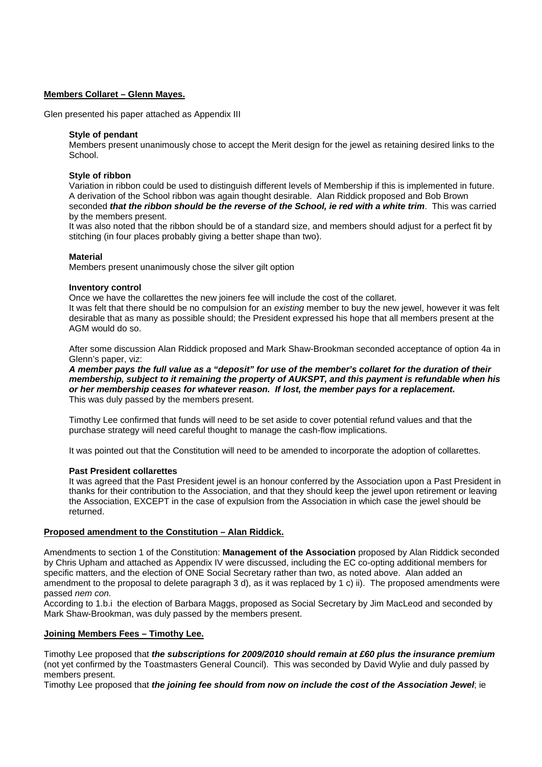# **Members Collaret – Glenn Mayes.**

Glen presented his paper attached as Appendix III

#### **Style of pendant**

Members present unanimously chose to accept the Merit design for the jewel as retaining desired links to the School.

#### **Style of ribbon**

Variation in ribbon could be used to distinguish different levels of Membership if this is implemented in future. A derivation of the School ribbon was again thought desirable. Alan Riddick proposed and Bob Brown seconded *that the ribbon should be the reverse of the School, ie red with a white trim*. This was carried by the members present.

It was also noted that the ribbon should be of a standard size, and members should adjust for a perfect fit by stitching (in four places probably giving a better shape than two).

# **Material**

Members present unanimously chose the silver gilt option

# **Inventory control**

Once we have the collarettes the new joiners fee will include the cost of the collaret. It was felt that there should be no compulsion for an *existing* member to buy the new jewel, however it was felt desirable that as many as possible should; the President expressed his hope that all members present at the AGM would do so.

After some discussion Alan Riddick proposed and Mark Shaw-Brookman seconded acceptance of option 4a in Glenn's paper, viz:

*A member pays the full value as a "deposit" for use of the member's collaret for the duration of their membership, subject to it remaining the property of AUKSPT, and this payment is refundable when his or her membership ceases for whatever reason. If lost, the member pays for a replacement.*  This was duly passed by the members present.

Timothy Lee confirmed that funds will need to be set aside to cover potential refund values and that the purchase strategy will need careful thought to manage the cash-flow implications.

It was pointed out that the Constitution will need to be amended to incorporate the adoption of collarettes.

# **Past President collarettes**

It was agreed that the Past President jewel is an honour conferred by the Association upon a Past President in thanks for their contribution to the Association, and that they should keep the jewel upon retirement or leaving the Association, EXCEPT in the case of expulsion from the Association in which case the jewel should be returned.

# **Proposed amendment to the Constitution – Alan Riddick.**

Amendments to section 1 of the Constitution: **Management of the Association** proposed by Alan Riddick seconded by Chris Upham and attached as Appendix IV were discussed, including the EC co-opting additional members for specific matters, and the election of ONE Social Secretary rather than two, as noted above. Alan added an amendment to the proposal to delete paragraph 3 d), as it was replaced by 1 c) ii). The proposed amendments were passed *nem con.*

According to 1.b.i the election of Barbara Maggs, proposed as Social Secretary by Jim MacLeod and seconded by Mark Shaw-Brookman, was duly passed by the members present.

# **Joining Members Fees – Timothy Lee.**

Timothy Lee proposed that *the subscriptions for 2009/2010 should remain at £60 plus the insurance premium* (not yet confirmed by the Toastmasters General Council). This was seconded by David Wylie and duly passed by members present.

Timothy Lee proposed that *the joining fee should from now on include the cost of the Association Jewel*; ie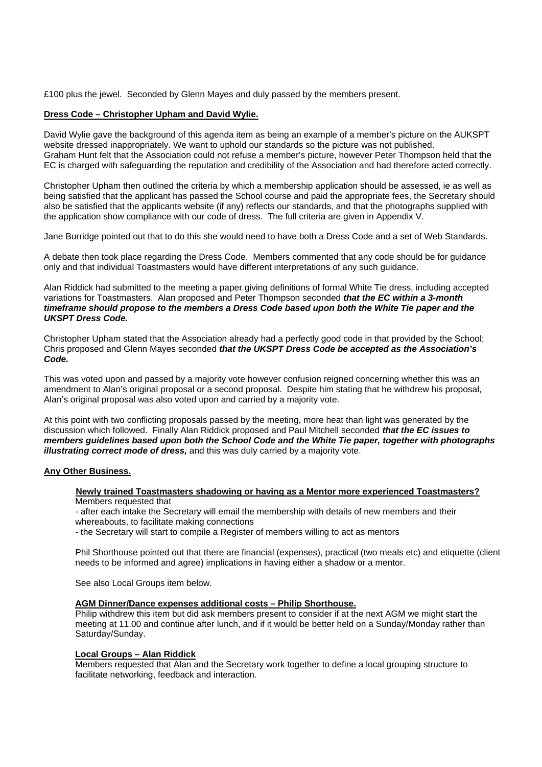£100 plus the jewel. Seconded by Glenn Mayes and duly passed by the members present.

# **Dress Code – Christopher Upham and David Wylie.**

David Wylie gave the background of this agenda item as being an example of a member's picture on the AUKSPT website dressed inappropriately. We want to uphold our standards so the picture was not published. Graham Hunt felt that the Association could not refuse a member's picture, however Peter Thompson held that the EC is charged with safeguarding the reputation and credibility of the Association and had therefore acted correctly.

Christopher Upham then outlined the criteria by which a membership application should be assessed, ie as well as being satisfied that the applicant has passed the School course and paid the appropriate fees, the Secretary should also be satisfied that the applicants website (if any) reflects our standards, and that the photographs supplied with the application show compliance with our code of dress. The full criteria are given in Appendix V.

Jane Burridge pointed out that to do this she would need to have both a Dress Code and a set of Web Standards.

A debate then took place regarding the Dress Code. Members commented that any code should be for guidance only and that individual Toastmasters would have different interpretations of any such guidance.

Alan Riddick had submitted to the meeting a paper giving definitions of formal White Tie dress, including accepted variations for Toastmasters. Alan proposed and Peter Thompson seconded *that the EC within a 3-month timeframe should propose to the members a Dress Code based upon both the White Tie paper and the UKSPT Dress Code.* 

Christopher Upham stated that the Association already had a perfectly good code in that provided by the School; Chris proposed and Glenn Mayes seconded *that the UKSPT Dress Code be accepted as the Association's Code.* 

This was voted upon and passed by a majority vote however confusion reigned concerning whether this was an amendment to Alan's original proposal or a second proposal. Despite him stating that he withdrew his proposal, Alan's original proposal was also voted upon and carried by a majority vote.

At this point with two conflicting proposals passed by the meeting, more heat than light was generated by the discussion which followed. Finally Alan Riddick proposed and Paul Mitchell seconded *that the EC issues to members guidelines based upon both the School Code and the White Tie paper, together with photographs illustrating correct mode of dress,* and this was duly carried by a majority vote.

# **Any Other Business.**

#### **Newly trained Toastmasters shadowing or having as a Mentor more experienced Toastmasters?** Members requested that

- after each intake the Secretary will email the membership with details of new members and their whereabouts, to facilitate making connections

- the Secretary will start to compile a Register of members willing to act as mentors

Phil Shorthouse pointed out that there are financial (expenses), practical (two meals etc) and etiquette (client needs to be informed and agree) implications in having either a shadow or a mentor.

See also Local Groups item below.

# **AGM Dinner/Dance expenses additional costs – Philip Shorthouse.**

Philip withdrew this item but did ask members present to consider if at the next AGM we might start the meeting at 11.00 and continue after lunch, and if it would be better held on a Sunday/Monday rather than Saturday/Sunday.

# **Local Groups – Alan Riddick**

Members requested that Alan and the Secretary work together to define a local grouping structure to facilitate networking, feedback and interaction.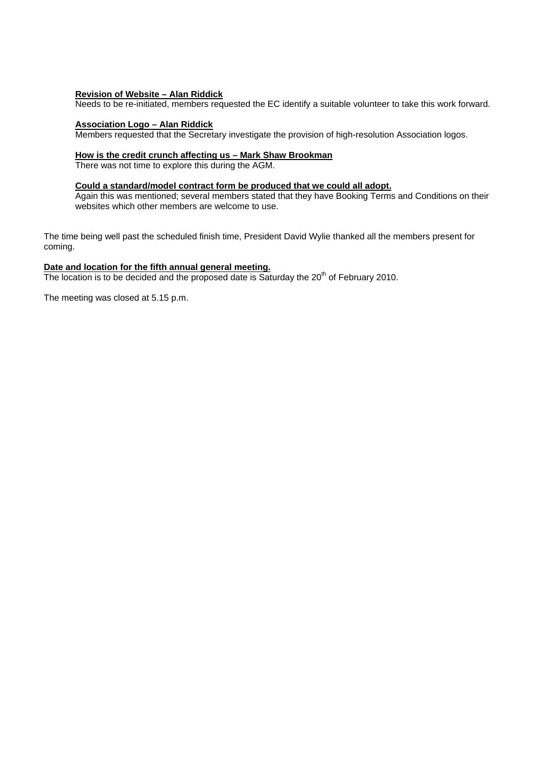# **Revision of Website – Alan Riddick**

Needs to be re-initiated, members requested the EC identify a suitable volunteer to take this work forward.

# **Association Logo – Alan Riddick**

Members requested that the Secretary investigate the provision of high-resolution Association logos.

# **How is the credit crunch affecting us – Mark Shaw Brookman**

There was not time to explore this during the AGM.

#### **Could a standard/model contract form be produced that we could all adopt.**

Again this was mentioned; several members stated that they have Booking Terms and Conditions on their websites which other members are welcome to use.

The time being well past the scheduled finish time, President David Wylie thanked all the members present for coming.

# **Date and location for the fifth annual general meeting.**

The location is to be decided and the proposed date is Saturday the  $20<sup>th</sup>$  of February 2010.

The meeting was closed at 5.15 p.m.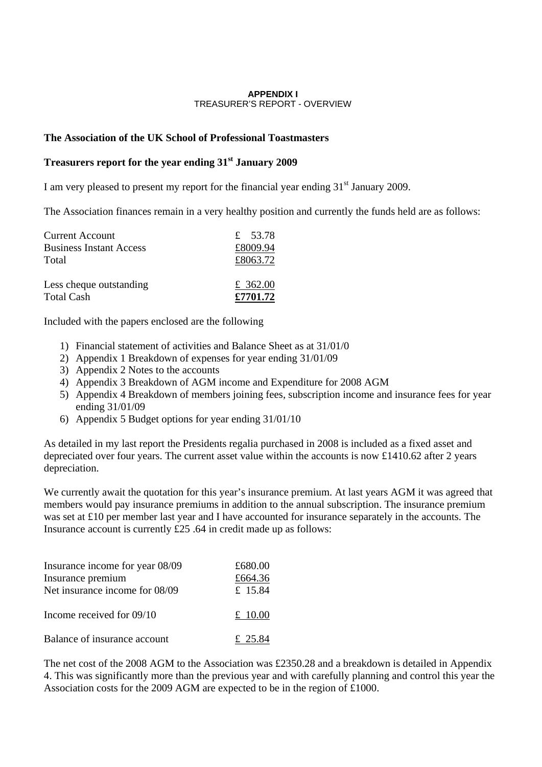# **APPENDIX I**  TREASURER'S REPORT - OVERVIEW

# **The Association of the UK School of Professional Toastmasters**

# **Treasurers report for the year ending 31st January 2009**

I am very pleased to present my report for the financial year ending  $31<sup>st</sup>$  January 2009.

The Association finances remain in a very healthy position and currently the funds held are as follows:

| <b>Current Account</b>                | £ 53.78              |
|---------------------------------------|----------------------|
| <b>Business Instant Access</b>        | £8009.94             |
| Total                                 | £8063.72             |
| Less cheque outstanding<br>Total Cash | £ 362.00<br>£7701.72 |

Included with the papers enclosed are the following

- 1) Financial statement of activities and Balance Sheet as at 31/01/0
- 2) Appendix 1 Breakdown of expenses for year ending 31/01/09
- 3) Appendix 2 Notes to the accounts
- 4) Appendix 3 Breakdown of AGM income and Expenditure for 2008 AGM
- 5) Appendix 4 Breakdown of members joining fees, subscription income and insurance fees for year ending 31/01/09
- 6) Appendix 5 Budget options for year ending 31/01/10

As detailed in my last report the Presidents regalia purchased in 2008 is included as a fixed asset and depreciated over four years. The current asset value within the accounts is now £1410.62 after 2 years depreciation.

We currently await the quotation for this year's insurance premium. At last years AGM it was agreed that members would pay insurance premiums in addition to the annual subscription. The insurance premium was set at £10 per member last year and I have accounted for insurance separately in the accounts. The Insurance account is currently £25 .64 in credit made up as follows:

| Insurance income for year 08/09<br>Insurance premium<br>Net insurance income for 08/09 | £680.00<br>£664.36<br>£ 15.84 |
|----------------------------------------------------------------------------------------|-------------------------------|
| Income received for 09/10                                                              | £ $10.00$                     |
| Balance of insurance account                                                           | £ 25.84                       |

The net cost of the 2008 AGM to the Association was £2350.28 and a breakdown is detailed in Appendix 4. This was significantly more than the previous year and with carefully planning and control this year the Association costs for the 2009 AGM are expected to be in the region of £1000.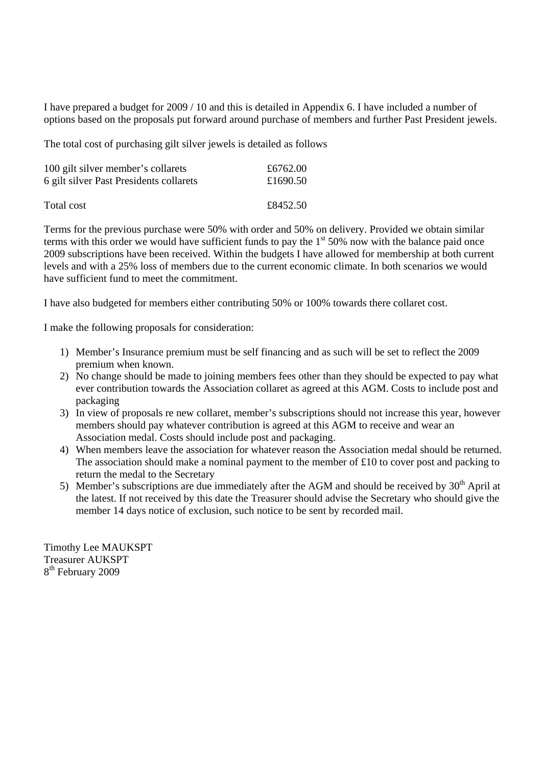I have prepared a budget for 2009 / 10 and this is detailed in Appendix 6. I have included a number of options based on the proposals put forward around purchase of members and further Past President jewels.

The total cost of purchasing gilt silver jewels is detailed as follows

| 100 gilt silver member's collarets      | £6762.00 |
|-----------------------------------------|----------|
| 6 gilt silver Past Presidents collarets | £1690.50 |
| Total cost                              | £8452.50 |

Terms for the previous purchase were 50% with order and 50% on delivery. Provided we obtain similar terms with this order we would have sufficient funds to pay the  $1<sup>st</sup> 50%$  now with the balance paid once 2009 subscriptions have been received. Within the budgets I have allowed for membership at both current levels and with a 25% loss of members due to the current economic climate. In both scenarios we would have sufficient fund to meet the commitment.

I have also budgeted for members either contributing 50% or 100% towards there collaret cost.

I make the following proposals for consideration:

- 1) Member's Insurance premium must be self financing and as such will be set to reflect the 2009 premium when known.
- 2) No change should be made to joining members fees other than they should be expected to pay what ever contribution towards the Association collaret as agreed at this AGM. Costs to include post and packaging
- 3) In view of proposals re new collaret, member's subscriptions should not increase this year, however members should pay whatever contribution is agreed at this AGM to receive and wear an Association medal. Costs should include post and packaging.
- 4) When members leave the association for whatever reason the Association medal should be returned. The association should make a nominal payment to the member of £10 to cover post and packing to return the medal to the Secretary
- 5) Member's subscriptions are due immediately after the AGM and should be received by  $30<sup>th</sup>$  April at the latest. If not received by this date the Treasurer should advise the Secretary who should give the member 14 days notice of exclusion, such notice to be sent by recorded mail.

Timothy Lee MAUKSPT Treasurer AUKSPT 8<sup>th</sup> February 2009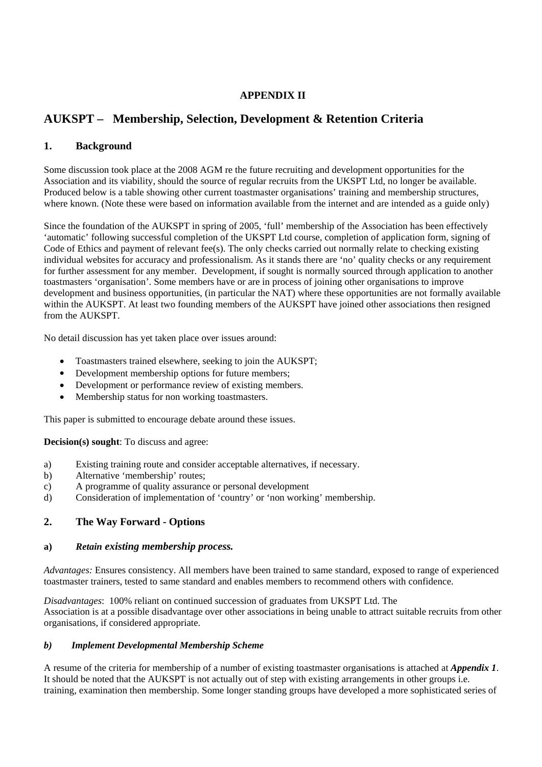# **APPENDIX II**

# **AUKSPT – Membership, Selection, Development & Retention Criteria**

# **1. Background**

Some discussion took place at the 2008 AGM re the future recruiting and development opportunities for the Association and its viability, should the source of regular recruits from the UKSPT Ltd, no longer be available. Produced below is a table showing other current toastmaster organisations' training and membership structures, where known. (Note these were based on information available from the internet and are intended as a guide only)

Since the foundation of the AUKSPT in spring of 2005, 'full' membership of the Association has been effectively 'automatic' following successful completion of the UKSPT Ltd course, completion of application form, signing of Code of Ethics and payment of relevant fee(s). The only checks carried out normally relate to checking existing individual websites for accuracy and professionalism. As it stands there are 'no' quality checks or any requirement for further assessment for any member. Development, if sought is normally sourced through application to another toastmasters 'organisation'. Some members have or are in process of joining other organisations to improve development and business opportunities, (in particular the NAT) where these opportunities are not formally available within the AUKSPT. At least two founding members of the AUKSPT have joined other associations then resigned from the AUKSPT.

No detail discussion has yet taken place over issues around:

- Toastmasters trained elsewhere, seeking to join the AUKSPT;
- Development membership options for future members;
- Development or performance review of existing members.
- Membership status for non working toastmasters.

This paper is submitted to encourage debate around these issues.

**Decision(s) sought**: To discuss and agree:

- a) Existing training route and consider acceptable alternatives, if necessary.
- b) Alternative 'membership' routes;
- c) A programme of quality assurance or personal development
- d) Consideration of implementation of 'country' or 'non working' membership.

# **2. The Way Forward - Options**

# **a)** *Retain existing membership process.*

*Advantages:* Ensures consistency. All members have been trained to same standard, exposed to range of experienced toastmaster trainers, tested to same standard and enables members to recommend others with confidence.

*Disadvantages*: 100% reliant on continued succession of graduates from UKSPT Ltd. The Association is at a possible disadvantage over other associations in being unable to attract suitable recruits from other organisations, if considered appropriate.

# *b) Implement Developmental Membership Scheme*

A resume of the criteria for membership of a number of existing toastmaster organisations is attached at *Appendix 1*. It should be noted that the AUKSPT is not actually out of step with existing arrangements in other groups i.e. training, examination then membership. Some longer standing groups have developed a more sophisticated series of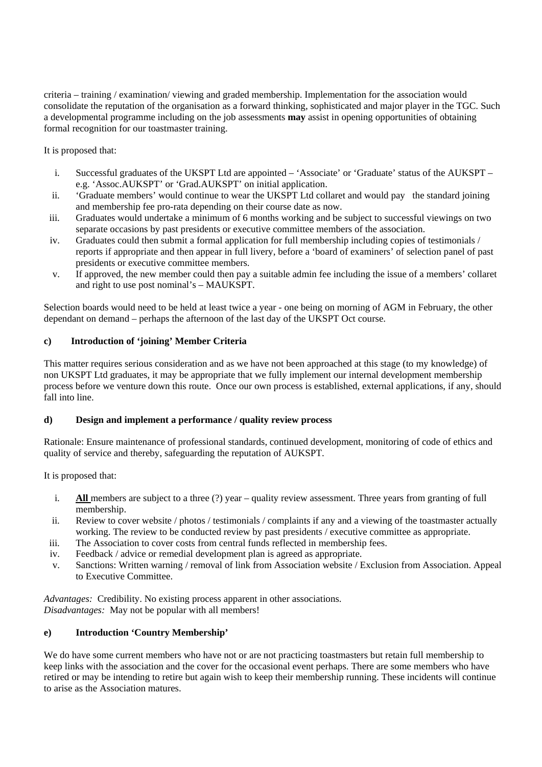criteria – training / examination/ viewing and graded membership. Implementation for the association would consolidate the reputation of the organisation as a forward thinking, sophisticated and major player in the TGC. Such a developmental programme including on the job assessments **may** assist in opening opportunities of obtaining formal recognition for our toastmaster training.

It is proposed that:

- i. Successful graduates of the UKSPT Ltd are appointed 'Associate' or 'Graduate' status of the AUKSPT e.g. 'Assoc.AUKSPT' or 'Grad.AUKSPT' on initial application.
- ii. 'Graduate members' would continue to wear the UKSPT Ltd collaret and would pay the standard joining and membership fee pro-rata depending on their course date as now.
- iii. Graduates would undertake a minimum of 6 months working and be subject to successful viewings on two separate occasions by past presidents or executive committee members of the association.
- iv. Graduates could then submit a formal application for full membership including copies of testimonials / reports if appropriate and then appear in full livery, before a 'board of examiners' of selection panel of past presidents or executive committee members.
- v. If approved, the new member could then pay a suitable admin fee including the issue of a members' collaret and right to use post nominal's – MAUKSPT.

Selection boards would need to be held at least twice a year - one being on morning of AGM in February, the other dependant on demand – perhaps the afternoon of the last day of the UKSPT Oct course.

# **c) Introduction of 'joining' Member Criteria**

This matter requires serious consideration and as we have not been approached at this stage (to my knowledge) of non UKSPT Ltd graduates, it may be appropriate that we fully implement our internal development membership process before we venture down this route. Once our own process is established, external applications, if any, should fall into line.

# **d) Design and implement a performance / quality review process**

Rationale: Ensure maintenance of professional standards, continued development, monitoring of code of ethics and quality of service and thereby, safeguarding the reputation of AUKSPT.

It is proposed that:

- i. **All** members are subject to a three (?) year quality review assessment. Three years from granting of full membership.
- ii. Review to cover website / photos / testimonials / complaints if any and a viewing of the toastmaster actually working. The review to be conducted review by past presidents / executive committee as appropriate.
- iii. The Association to cover costs from central funds reflected in membership fees.
- iv. Feedback / advice or remedial development plan is agreed as appropriate.
- v. Sanctions: Written warning / removal of link from Association website / Exclusion from Association. Appeal to Executive Committee.

*Advantages:* Credibility. No existing process apparent in other associations. *Disadvantages:* May not be popular with all members!

# **e) Introduction 'Country Membership'**

We do have some current members who have not or are not practicing toastmasters but retain full membership to keep links with the association and the cover for the occasional event perhaps. There are some members who have retired or may be intending to retire but again wish to keep their membership running. These incidents will continue to arise as the Association matures.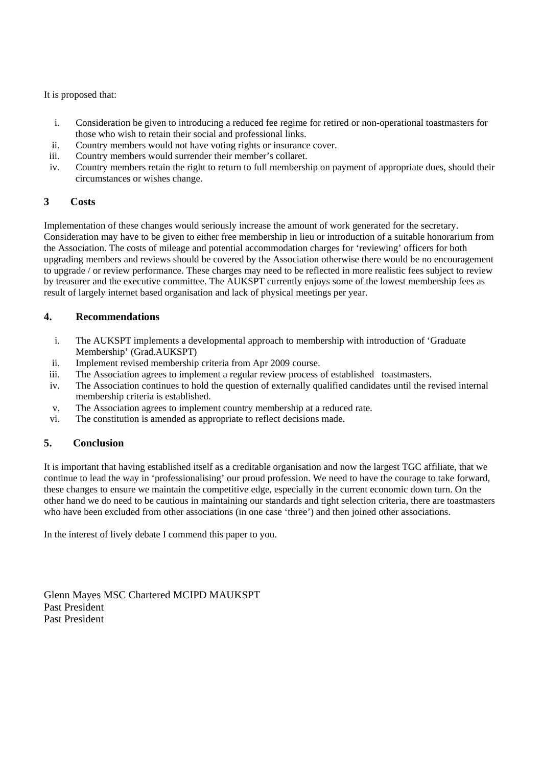It is proposed that:

- i. Consideration be given to introducing a reduced fee regime for retired or non-operational toastmasters for those who wish to retain their social and professional links.
- ii. Country members would not have voting rights or insurance cover.
- iii. Country members would surrender their member's collaret.
- iv. Country members retain the right to return to full membership on payment of appropriate dues, should their circumstances or wishes change.

# **3 Costs**

Implementation of these changes would seriously increase the amount of work generated for the secretary. Consideration may have to be given to either free membership in lieu or introduction of a suitable honorarium from the Association. The costs of mileage and potential accommodation charges for 'reviewing' officers for both upgrading members and reviews should be covered by the Association otherwise there would be no encouragement to upgrade / or review performance. These charges may need to be reflected in more realistic fees subject to review by treasurer and the executive committee. The AUKSPT currently enjoys some of the lowest membership fees as result of largely internet based organisation and lack of physical meetings per year.

# **4. Recommendations**

- i. The AUKSPT implements a developmental approach to membership with introduction of 'Graduate Membership' (Grad.AUKSPT)
- ii. Implement revised membership criteria from Apr 2009 course.
- iii. The Association agrees to implement a regular review process of established toastmasters.
- iv. The Association continues to hold the question of externally qualified candidates until the revised internal membership criteria is established.
- v. The Association agrees to implement country membership at a reduced rate.
- vi. The constitution is amended as appropriate to reflect decisions made.

# **5. Conclusion**

It is important that having established itself as a creditable organisation and now the largest TGC affiliate, that we continue to lead the way in 'professionalising' our proud profession. We need to have the courage to take forward, these changes to ensure we maintain the competitive edge, especially in the current economic down turn. On the other hand we do need to be cautious in maintaining our standards and tight selection criteria, there are toastmasters who have been excluded from other associations (in one case 'three') and then joined other associations.

In the interest of lively debate I commend this paper to you.

Glenn Mayes MSC Chartered MCIPD MAUKSPT Past President Past President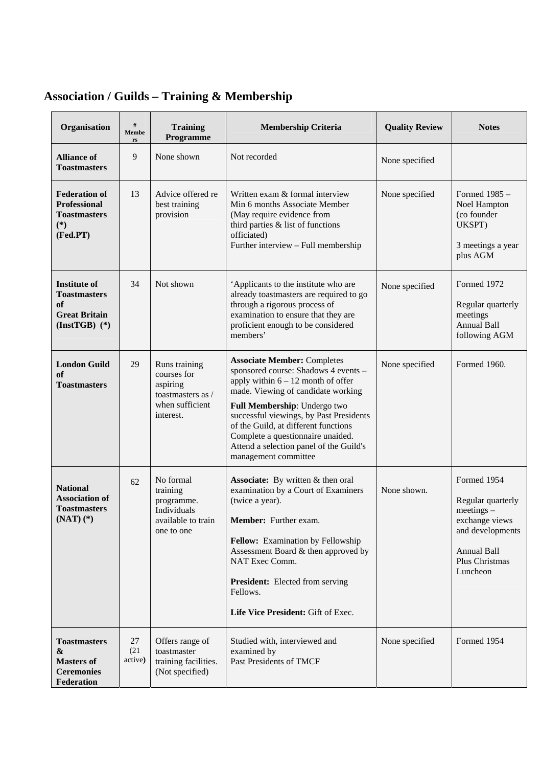# **Association / Guilds – Training & Membership**

| Organisation                                                                                     | $\#$<br>Membe<br>rs   | <b>Training</b><br>Programme                                                                  | <b>Membership Criteria</b>                                                                                                                                                                                                                                                                                                                                                          | <b>Quality Review</b> | <b>Notes</b>                                                                                                                               |
|--------------------------------------------------------------------------------------------------|-----------------------|-----------------------------------------------------------------------------------------------|-------------------------------------------------------------------------------------------------------------------------------------------------------------------------------------------------------------------------------------------------------------------------------------------------------------------------------------------------------------------------------------|-----------------------|--------------------------------------------------------------------------------------------------------------------------------------------|
| <b>Alliance of</b><br><b>Toastmasters</b>                                                        | 9                     | None shown                                                                                    | Not recorded                                                                                                                                                                                                                                                                                                                                                                        | None specified        |                                                                                                                                            |
| <b>Federation of</b><br><b>Professional</b><br><b>Toastmasters</b><br>$(*)$<br>(Fed.PT)          | 13                    | Advice offered re<br>best training<br>provision                                               | Written exam & formal interview<br>Min 6 months Associate Member<br>(May require evidence from<br>third parties & list of functions<br>officiated)<br>Further interview - Full membership                                                                                                                                                                                           | None specified        | Formed 1985 -<br>Noel Hampton<br>(co founder<br>UKSPT)<br>3 meetings a year<br>plus AGM                                                    |
| <b>Institute of</b><br><b>Toastmasters</b><br>of<br><b>Great Britain</b><br>$(InstTGB)$ (*)      | 34                    | Not shown                                                                                     | 'Applicants to the institute who are<br>already toastmasters are required to go<br>through a rigorous process of<br>examination to ensure that they are<br>proficient enough to be considered<br>members'                                                                                                                                                                           | None specified        | Formed 1972<br>Regular quarterly<br>meetings<br><b>Annual Ball</b><br>following AGM                                                        |
| <b>London Guild</b><br>of<br><b>Toastmasters</b>                                                 | 29                    | Runs training<br>courses for<br>aspiring<br>toastmasters as /<br>when sufficient<br>interest. | <b>Associate Member: Completes</b><br>sponsored course: Shadows 4 events -<br>apply within $6 - 12$ month of offer<br>made. Viewing of candidate working<br>Full Membership: Undergo two<br>successful viewings, by Past Presidents<br>of the Guild, at different functions<br>Complete a questionnaire unaided.<br>Attend a selection panel of the Guild's<br>management committee | None specified        | Formed 1960.                                                                                                                               |
| <b>National</b><br><b>Association of</b><br><b>Toastmasters</b><br>$(NAT)$ $(*)$                 | 62                    | No formal<br>training<br>programme.<br>Individuals<br>available to train<br>one to one        | Associate: By written & then oral<br>examination by a Court of Examiners<br>(twice a year).<br>Member: Further exam.<br>Fellow: Examination by Fellowship<br>Assessment Board & then approved by<br>NAT Exec Comm.<br><b>President:</b> Elected from serving<br>Fellows.<br>Life Vice President: Gift of Exec.                                                                      | None shown.           | Formed 1954<br>Regular quarterly<br>$meetings -$<br>exchange views<br>and developments<br><b>Annual Ball</b><br>Plus Christmas<br>Luncheon |
| <b>Toastmasters</b><br>$\boldsymbol{\&}$<br><b>Masters of</b><br><b>Ceremonies</b><br>Federation | 27<br>(21)<br>active) | Offers range of<br>toastmaster<br>training facilities.<br>(Not specified)                     | Studied with, interviewed and<br>examined by<br>Past Presidents of TMCF                                                                                                                                                                                                                                                                                                             | None specified        | Formed 1954                                                                                                                                |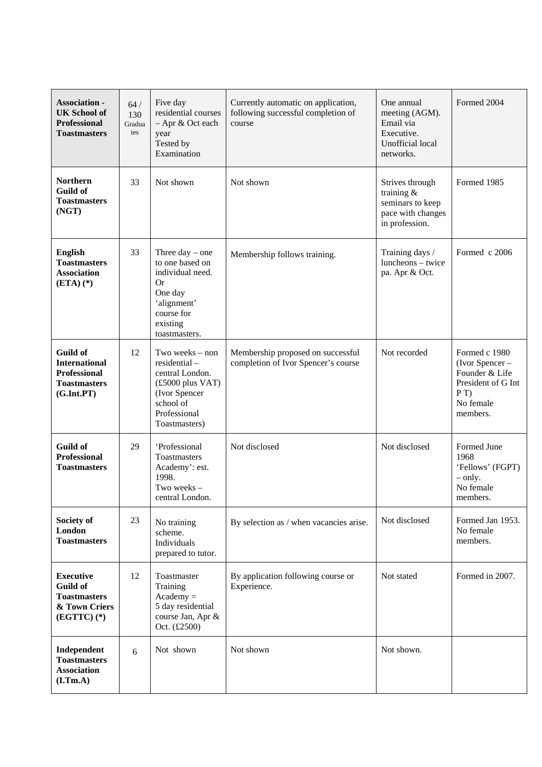| <b>Association -</b><br><b>UK School of</b><br><b>Professional</b><br><b>Toastmasters</b>           | $64/$<br>130<br>Gradua<br>tes | Five day<br>residential courses<br>- Apr & Oct each<br>year<br>Tested by<br>Examination                                                                        | Currently automatic on application,<br>following successful completion of<br>course | One annual<br>meeting (AGM).<br>Email via<br>Executive.<br>Unofficial local<br>networks.   | Formed 2004                                                                                                    |
|-----------------------------------------------------------------------------------------------------|-------------------------------|----------------------------------------------------------------------------------------------------------------------------------------------------------------|-------------------------------------------------------------------------------------|--------------------------------------------------------------------------------------------|----------------------------------------------------------------------------------------------------------------|
| <b>Northern</b><br><b>Guild of</b><br><b>Toastmasters</b><br>(NGT)                                  | 33                            | Not shown                                                                                                                                                      | Not shown                                                                           | Strives through<br>training $&$<br>seminars to keep<br>pace with changes<br>in profession. | Formed 1985                                                                                                    |
| <b>English</b><br><b>Toastmasters</b><br><b>Association</b><br>$(ETA)$ (*)                          | 33                            | Three day $-$ one<br>to one based on<br>individual need.<br><b>Or</b><br>One day<br>'alignment'<br>course for<br>existing<br>toastmasters.                     | Membership follows training.                                                        | Training days /<br>luncheons - twice<br>pa. Apr & Oct.                                     | Formed c 2006                                                                                                  |
| <b>Guild of</b><br><b>International</b><br><b>Professional</b><br><b>Toastmasters</b><br>(G.int.PT) | 12                            | Two weeks – non<br>residential-<br>central London.<br>$(\pounds 5000 \text{ plus } \text{VAT})$<br>(Ivor Spencer<br>school of<br>Professional<br>Toastmasters) | Membership proposed on successful<br>completion of Ivor Spencer's course            | Not recorded                                                                               | Formed c 1980<br>$($ Ivor Spencer $-$<br>Founder & Life<br>President of G Int<br>P(T)<br>No female<br>members. |
| <b>Guild of</b><br><b>Professional</b><br><b>Toastmasters</b>                                       | 29                            | 'Professional<br>Toastmasters<br>Academy': est.<br>1998.<br>Two weeks-<br>central London.                                                                      | Not disclosed                                                                       | Not disclosed                                                                              | Formed June<br>1968<br>'Fellows' (FGPT)<br>$-$ only.<br>No female<br>members.                                  |
| Society of<br>London<br><b>Toastmasters</b>                                                         | 23                            | No training<br>scheme.<br>Individuals<br>prepared to tutor.                                                                                                    | By selection as / when vacancies arise.                                             | Not disclosed                                                                              | Formed Jan 1953.<br>No female<br>members.                                                                      |
| <b>Executive</b><br><b>Guild of</b><br><b>Toastmasters</b><br>& Town Criers<br>$(EGTTC)$ $(*)$      | 12                            | Toastmaster<br>Training<br>$Academy =$<br>5 day residential<br>course Jan, Apr &<br>Oct. (£2500)                                                               | By application following course or<br>Experience.                                   | Not stated                                                                                 | Formed in 2007.                                                                                                |
| Independent<br><b>Toastmasters</b><br><b>Association</b><br>(I.Tm.A)                                | 6                             | Not shown                                                                                                                                                      | Not shown                                                                           | Not shown.                                                                                 |                                                                                                                |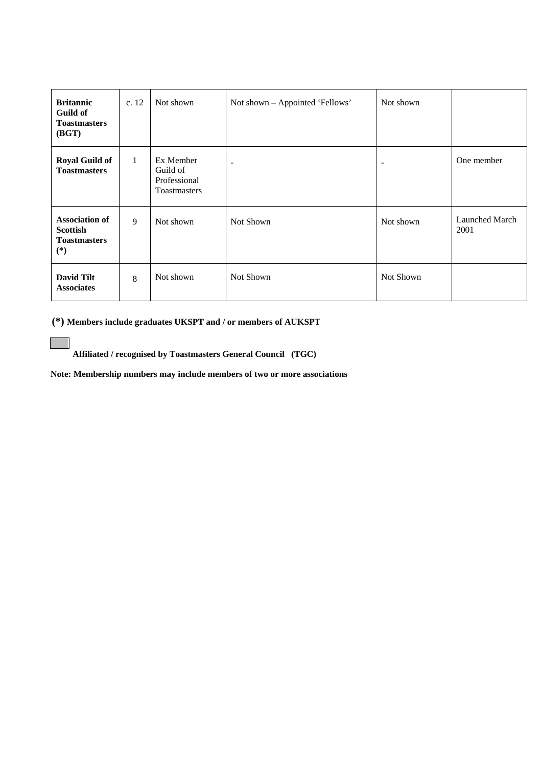| <b>Britannic</b><br>Guild of<br><b>Toastmasters</b><br>(BGT)             | c. 12        | Not shown                                                    | Not shown - Appointed 'Fellows' | Not shown |                        |
|--------------------------------------------------------------------------|--------------|--------------------------------------------------------------|---------------------------------|-----------|------------------------|
| <b>Royal Guild of</b><br><b>Toastmasters</b>                             | $\mathbf{1}$ | Ex Member<br>Guild of<br>Professional<br><b>Toastmasters</b> | -                               |           | One member             |
| <b>Association of</b><br><b>Scottish</b><br><b>Toastmasters</b><br>$(*)$ | 9            | Not shown                                                    | Not Shown                       | Not shown | Launched March<br>2001 |
| <b>David Tilt</b><br><b>Associates</b>                                   | 8            | Not shown                                                    | Not Shown                       | Not Shown |                        |

 **(\*) Members include graduates UKSPT and / or members of AUKSPT** 

 $\mathbb{R}^n$ 

 **Affiliated / recognised by Toastmasters General Council (TGC)** 

 **Note: Membership numbers may include members of two or more associations**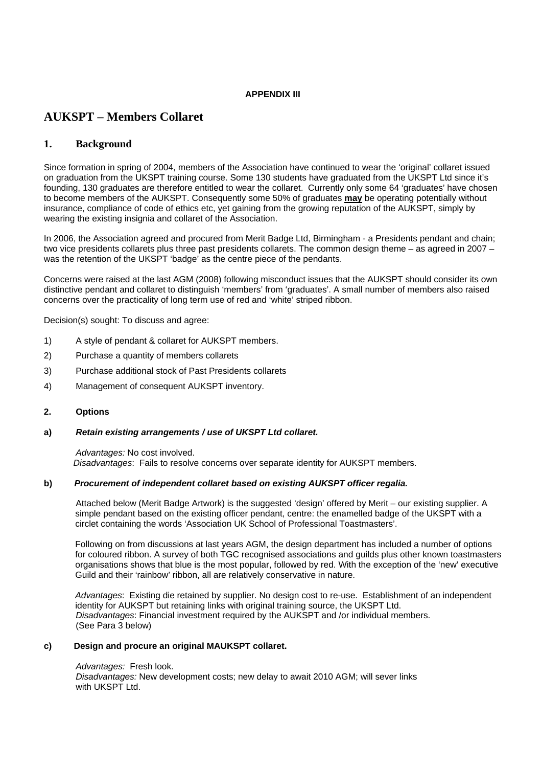# **APPENDIX III**

# **AUKSPT – Members Collaret**

# **1. Background**

Since formation in spring of 2004, members of the Association have continued to wear the 'original' collaret issued on graduation from the UKSPT training course. Some 130 students have graduated from the UKSPT Ltd since it's founding, 130 graduates are therefore entitled to wear the collaret. Currently only some 64 'graduates' have chosen to become members of the AUKSPT. Consequently some 50% of graduates **may** be operating potentially without insurance, compliance of code of ethics etc, yet gaining from the growing reputation of the AUKSPT, simply by wearing the existing insignia and collaret of the Association.

In 2006, the Association agreed and procured from Merit Badge Ltd, Birmingham - a Presidents pendant and chain; two vice presidents collarets plus three past presidents collarets. The common design theme – as agreed in 2007 – was the retention of the UKSPT 'badge' as the centre piece of the pendants.

Concerns were raised at the last AGM (2008) following misconduct issues that the AUKSPT should consider its own distinctive pendant and collaret to distinguish 'members' from 'graduates'. A small number of members also raised concerns over the practicality of long term use of red and 'white' striped ribbon.

Decision(s) sought: To discuss and agree:

- 1) A style of pendant & collaret for AUKSPT members.
- 2) Purchase a quantity of members collarets
- 3) Purchase additional stock of Past Presidents collarets
- 4) Management of consequent AUKSPT inventory.

# **2. Options**

# **a)** *Retain existing arrangements / use of UKSPT Ltd collaret.*

*Advantages:* No cost involved. *Disadvantages*: Fails to resolve concerns over separate identity for AUKSPT members.

# **b)** *Procurement of independent collaret based on existing AUKSPT officer regalia.*

 Attached below (Merit Badge Artwork) is the suggested 'design' offered by Merit – our existing supplier. A simple pendant based on the existing officer pendant, centre: the enamelled badge of the UKSPT with a circlet containing the words 'Association UK School of Professional Toastmasters'.

Following on from discussions at last years AGM, the design department has included a number of options for coloured ribbon. A survey of both TGC recognised associations and guilds plus other known toastmasters organisations shows that blue is the most popular, followed by red. With the exception of the 'new' executive Guild and their 'rainbow' ribbon, all are relatively conservative in nature.

*Advantages*: Existing die retained by supplier. No design cost to re-use. Establishment of an independent identity for AUKSPT but retaining links with original training source, the UKSPT Ltd. *Disadvantages*: Financial investment required by the AUKSPT and /or individual members. (See Para 3 below)

# **c) Design and procure an original MAUKSPT collaret.**

#### *Advantages:* Fresh look.

*Disadvantages:* New development costs; new delay to await 2010 AGM; will sever links with UKSPT Ltd.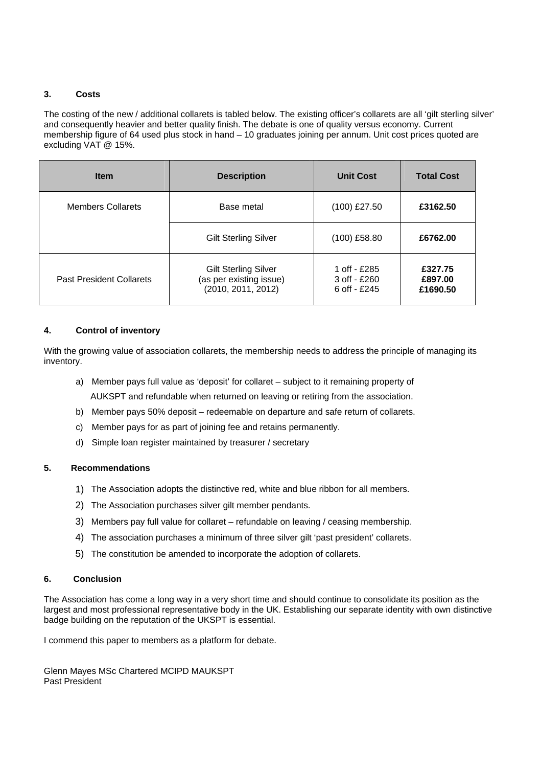# **3. Costs**

The costing of the new / additional collarets is tabled below. The existing officer's collarets are all 'gilt sterling silver' and consequently heavier and better quality finish. The debate is one of quality versus economy. Current membership figure of 64 used plus stock in hand – 10 graduates joining per annum. Unit cost prices quoted are excluding VAT @ 15%.

| <b>Item</b>                     | <b>Description</b>                                                           | <b>Unit Cost</b>                               | <b>Total Cost</b>              |
|---------------------------------|------------------------------------------------------------------------------|------------------------------------------------|--------------------------------|
| <b>Members Collarets</b>        | Base metal                                                                   | $(100)$ £27.50                                 | £3162.50                       |
|                                 | <b>Gilt Sterling Silver</b>                                                  | $(100)$ £58.80                                 | £6762.00                       |
| <b>Past President Collarets</b> | <b>Gilt Sterling Silver</b><br>(as per existing issue)<br>(2010, 2011, 2012) | 1 off - £285<br>3 off - £260<br>6 off $-$ £245 | £327.75<br>£897.00<br>£1690.50 |

# **4. Control of inventory**

With the growing value of association collarets, the membership needs to address the principle of managing its inventory.

- a) Member pays full value as 'deposit' for collaret subject to it remaining property of AUKSPT and refundable when returned on leaving or retiring from the association.
- b) Member pays 50% deposit redeemable on departure and safe return of collarets.
- c) Member pays for as part of joining fee and retains permanently.
- d) Simple loan register maintained by treasurer / secretary

# **5. Recommendations**

- 1) The Association adopts the distinctive red, white and blue ribbon for all members.
- 2) The Association purchases silver gilt member pendants.
- 3) Members pay full value for collaret refundable on leaving / ceasing membership.
- 4) The association purchases a minimum of three silver gilt 'past president' collarets.
- 5) The constitution be amended to incorporate the adoption of collarets.

# **6. Conclusion**

The Association has come a long way in a very short time and should continue to consolidate its position as the largest and most professional representative body in the UK. Establishing our separate identity with own distinctive badge building on the reputation of the UKSPT is essential.

I commend this paper to members as a platform for debate.

Glenn Mayes MSc Chartered MCIPD MAUKSPT Past President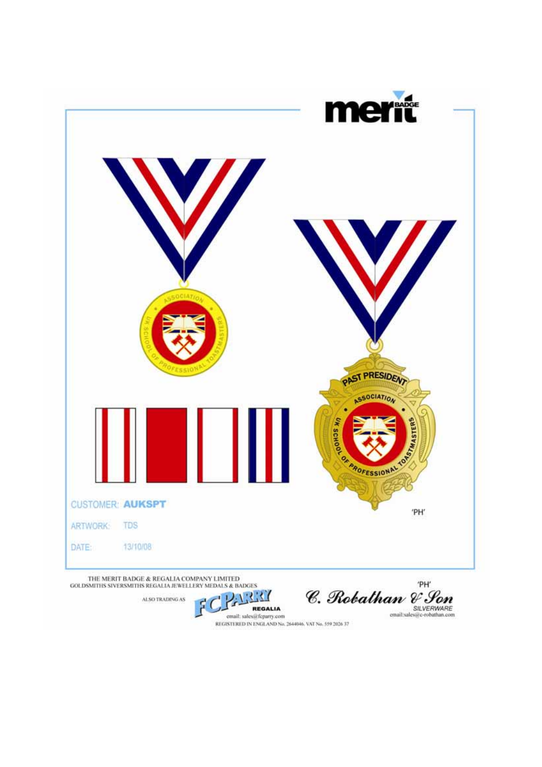

ALSO TRADING AS

C. Robalhan & Son

email: sales@fcparty.com<br>REGISTERED IN ENGLAND No. 2644046, VAT No. 559 2026 37

REGALIA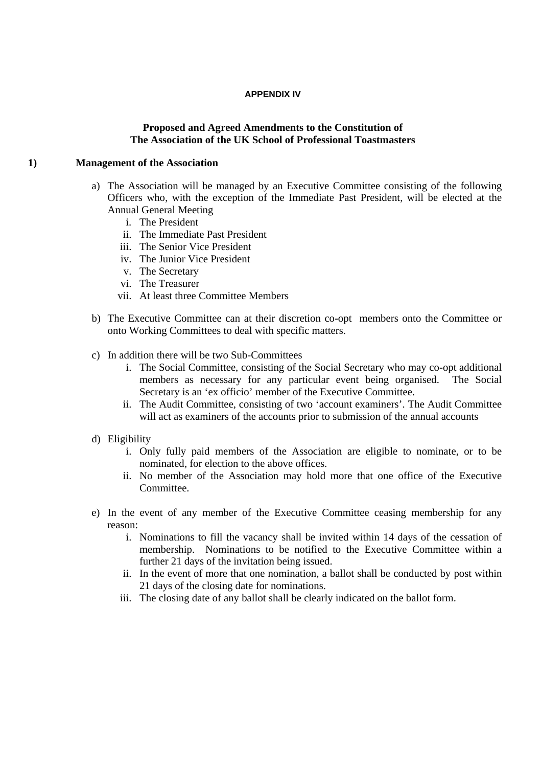# **APPENDIX IV**

# **Proposed and Agreed Amendments to the Constitution of The Association of the UK School of Professional Toastmasters**

# **1) Management of the Association**

- a) The Association will be managed by an Executive Committee consisting of the following Officers who, with the exception of the Immediate Past President, will be elected at the Annual General Meeting
	- i. The President
	- ii. The Immediate Past President
	- iii. The Senior Vice President
	- iv. The Junior Vice President
	- v. The Secretary
	- vi. The Treasurer
	- vii. At least three Committee Members
- b) The Executive Committee can at their discretion co-opt members onto the Committee or onto Working Committees to deal with specific matters.
- c) In addition there will be two Sub-Committees
	- i. The Social Committee, consisting of the Social Secretary who may co-opt additional members as necessary for any particular event being organised. The Social Secretary is an 'ex officio' member of the Executive Committee.
	- ii. The Audit Committee, consisting of two 'account examiners'. The Audit Committee will act as examiners of the accounts prior to submission of the annual accounts
- d) Eligibility
	- i. Only fully paid members of the Association are eligible to nominate, or to be nominated, for election to the above offices.
	- ii. No member of the Association may hold more that one office of the Executive Committee.
- e) In the event of any member of the Executive Committee ceasing membership for any reason:
	- i. Nominations to fill the vacancy shall be invited within 14 days of the cessation of membership. Nominations to be notified to the Executive Committee within a further 21 days of the invitation being issued.
	- ii. In the event of more that one nomination, a ballot shall be conducted by post within 21 days of the closing date for nominations.
	- iii. The closing date of any ballot shall be clearly indicated on the ballot form.